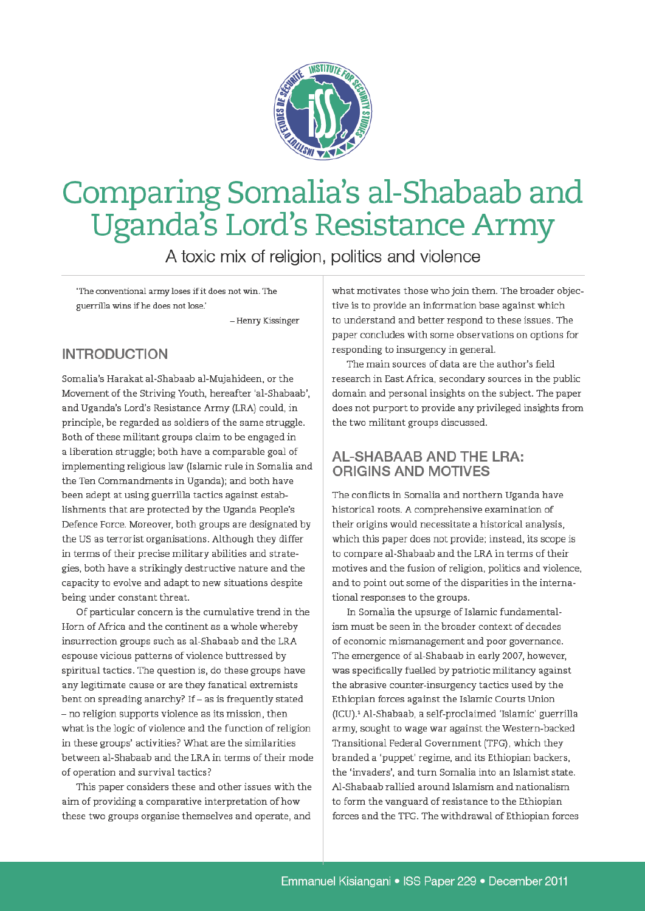

# Comparing Somalia's al-Shabaab and Uganda's Lord's Resistance Army

A toxic mix of religion, politics and violence

'The conventional army loses if it does not win. The guerrilla wins if he does not lose.'

- Henry Kissinger

# **INTRODUCTION**

Somalia's Harakat al-Shabaab al-Mujahideen, or the Movement of the Striving Youth, hereafter 'al-Shabaab', and Uganda's Lord's Resistance Army (LRA) could, in principle, be regarded as soldiers of the same struggle. Both of these militant groups claim to be engaged in a liberation struggle; both have a comparable goal of implementing religious law (Islamic rule in Somalia and the Ten Commandments in Uganda); and both have been adept at using guerrilla tactics against establishments that are protected by the Uganda People's Defence Force. Moreover, both groups are designated by the US as terrorist organisations. Although they differ in terms of their precise military abilities and strategies, both have a strikingly destructive nature and the capacity to evolve and adapt to new situations despite being under constant threat.

Of particular concern is the cumulative trend in the Horn of Africa and the continent as a whole whereby insurrection groups such as al-Shabaab and the LRA espouse vicious patterns of violence buttressed by spiritual tactics. The question is, do these groups have any legitimate cause or are they fanatical extremists bent on spreading anarchy? If – as is frequently stated - no religion supports violence as its mission, then what is the logic of violence and the function of religion in these groups' activities? What are the similarities between al-Shabaab and the LRA in terms of their mode of operation and survival tactics?

This paper considers these and other issues with the aim of providing a comparative interpretation of how these two groups organise themselves and operate, and

what motivates those who join them. The broader objective is to provide an information base against which to understand and better respond to these issues. The paper concludes with some observations on options for responding to insurgency in general.

The main sources of data are the author's field research in East Africa, secondary sources in the public domain and personal insights on the subject. The paper does not purport to provide any privileged insights from the two militant groups discussed.

#### **AL-SHABAAB AND THE LRA: ORIGINS AND MOTIVES**

The conflicts in Somalia and northern Uganda have historical roots. A comprehensive examination of their origins would necessitate a historical analysis, which this paper does not provide; instead, its scope is to compare al-Shabaab and the LRA in terms of their motives and the fusion of religion, politics and violence, and to point out some of the disparities in the international responses to the groups.

In Somalia the upsurge of Islamic fundamentalism must be seen in the broader context of decades of economic mismanagement and poor governance. The emergence of al-Shabaab in early 2007, however, was specifically fuelled by patriotic militancy against the abrasive counter-insurgency tactics used by the Ethiopian forces against the Islamic Courts Union (ICU).<sup>1</sup> Al-Shabaab, a self-proclaimed 'Islamic' guerrilla army, sought to wage war against the Western-backed Transitional Federal Government (TFG), which they branded a 'puppet' regime, and its Ethiopian backers, the 'invaders', and turn Somalia into an Islamist state. Al-Shabaab rallied around Islamism and nationalism to form the vanguard of resistance to the Ethiopian forces and the TFG. The withdrawal of Ethiopian forces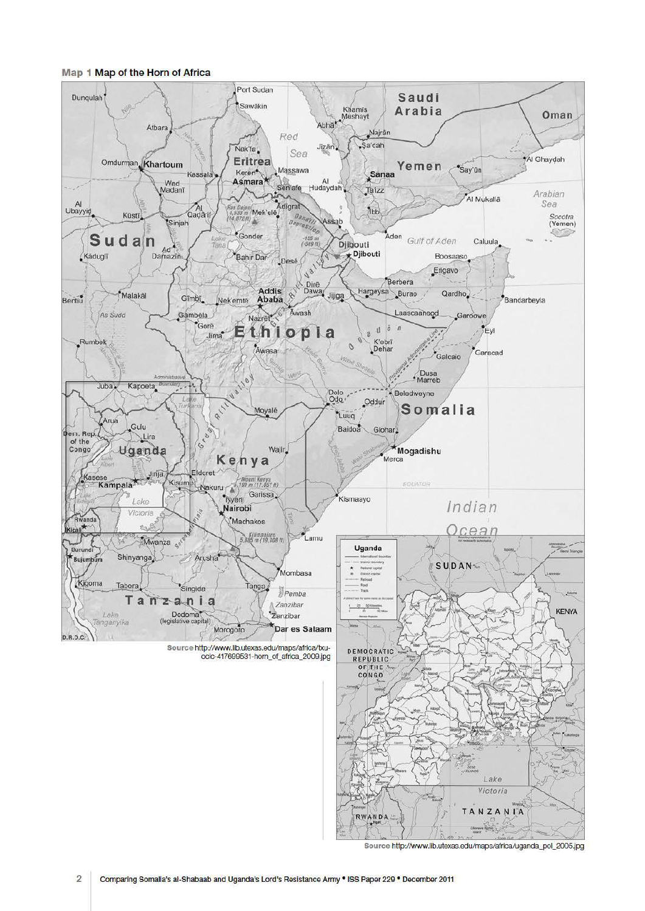

Map 1 Map of the Horn of Africa

Source http://www.lib.utexas.edu/maps/africa/uganda\_pol\_2005.jpg

RWANDA

TANZANIA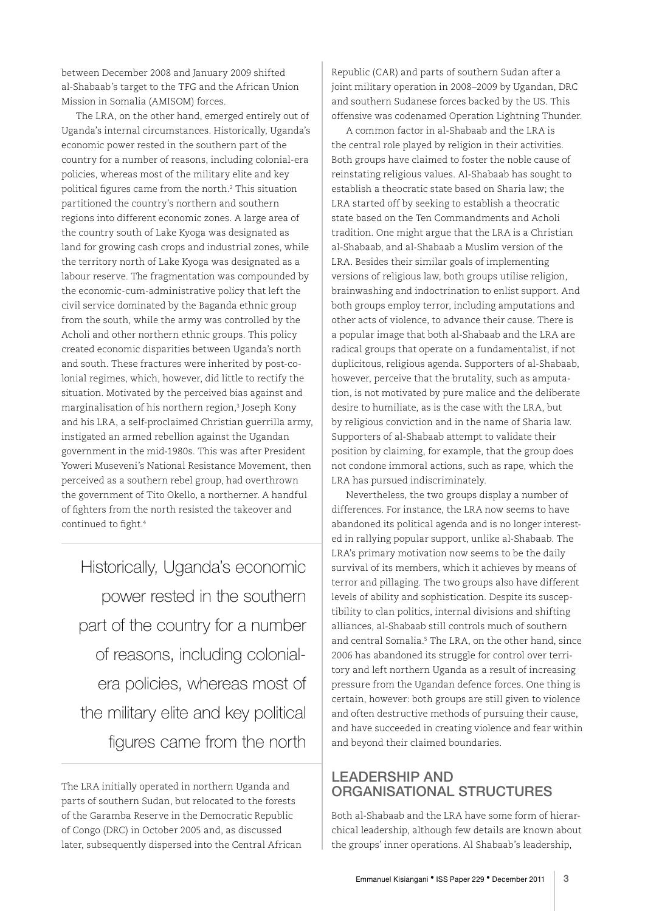between December 2008 and January 2009 shifted al-Shabaab's target to the TFG and the African Union Mission in Somalia (AMISOM) forces.

The LRA, on the other hand, emerged entirely out of Uganda's internal circumstances. Historically, Uganda's economic power rested in the southern part of the country for a number of reasons, including colonial-era policies, whereas most of the military elite and key political figures came from the north.2 This situation partitioned the country's northern and southern regions into different economic zones. A large area of the country south of Lake Kyoga was designated as land for growing cash crops and industrial zones, while the territory north of Lake Kyoga was designated as a labour reserve. The fragmentation was compounded by the economic-cum-administrative policy that left the civil service dominated by the Baganda ethnic group from the south, while the army was controlled by the Acholi and other northern ethnic groups. This policy created economic disparities between Uganda's north and south. These fractures were inherited by post-colonial regimes, which, however, did little to rectify the situation. Motivated by the perceived bias against and marginalisation of his northern region,3 Joseph Kony and his LRA, a self-proclaimed Christian guerrilla army, instigated an armed rebellion against the Ugandan government in the mid-1980s. This was after President Yoweri Museveni's National Resistance Movement, then perceived as a southern rebel group, had overthrown the government of Tito Okello, a northerner. A handful of fighters from the north resisted the takeover and continued to fight.4

Historically, Uganda's economic power rested in the southern part of the country for a number of reasons, including colonialera policies, whereas most of the military elite and key political figures came from the north

The LRA initially operated in northern Uganda and parts of southern Sudan, but relocated to the forests of the Garamba Reserve in the Democratic Republic of Congo (DRC) in October 2005 and, as discussed later, subsequently dispersed into the Central African

Republic (CAR) and parts of southern Sudan after a joint military operation in 2008–2009 by Ugandan, DRC and southern Sudanese forces backed by the US. This offensive was codenamed Operation Lightning Thunder.

A common factor in al-Shabaab and the LRA is the central role played by religion in their activities. Both groups have claimed to foster the noble cause of reinstating religious values. Al-Shabaab has sought to establish a theocratic state based on Sharia law; the LRA started off by seeking to establish a theocratic state based on the Ten Commandments and Acholi tradition. One might argue that the LRA is a Christian al-Shabaab, and al-Shabaab a Muslim version of the LRA. Besides their similar goals of implementing versions of religious law, both groups utilise religion, brainwashing and indoctrination to enlist support. And both groups employ terror, including amputations and other acts of violence, to advance their cause. There is a popular image that both al-Shabaab and the LRA are radical groups that operate on a fundamentalist, if not duplicitous, religious agenda. Supporters of al-Shabaab, however, perceive that the brutality, such as amputation, is not motivated by pure malice and the deliberate desire to humiliate, as is the case with the LRA, but by religious conviction and in the name of Sharia law. Supporters of al-Shabaab attempt to validate their position by claiming, for example, that the group does not condone immoral actions, such as rape, which the LRA has pursued indiscriminately.

Nevertheless, the two groups display a number of differences. For instance, the LRA now seems to have abandoned its political agenda and is no longer interested in rallying popular support, unlike al-Shabaab. The LRA's primary motivation now seems to be the daily survival of its members, which it achieves by means of terror and pillaging. The two groups also have different levels of ability and sophistication. Despite its susceptibility to clan politics, internal divisions and shifting alliances, al-Shabaab still controls much of southern and central Somalia.5 The LRA, on the other hand, since 2006 has abandoned its struggle for control over territory and left northern Uganda as a result of increasing pressure from the Ugandan defence forces. One thing is certain, however: both groups are still given to violence and often destructive methods of pursuing their cause, and have succeeded in creating violence and fear within and beyond their claimed boundaries.

#### LEADERSHIP AND ORGANISATIONAL STRUCTURES

Both al-Shabaab and the LRA have some form of hierarchical leadership, although few details are known about the groups' inner operations. Al Shabaab's leadership,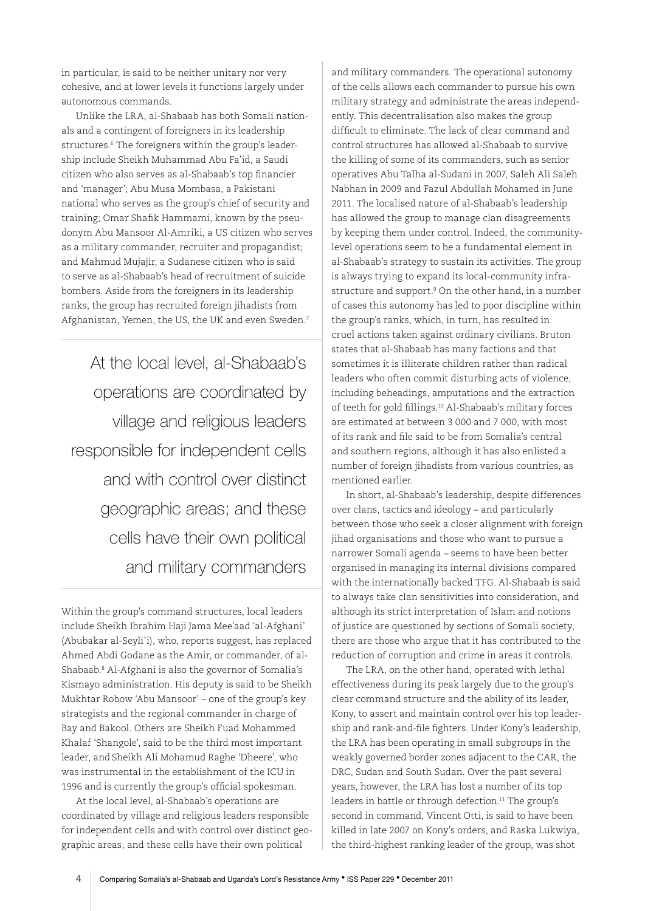in particular, is said to be neither unitary nor very cohesive, and at lower levels it functions largely under autonomous commands.

Unlike the LRA, al-Shabaab has both Somali nationals and a contingent of foreigners in its leadership structures.6 The foreigners within the group's leadership include Sheikh Muhammad Abu Fa'id, a Saudi citizen who also serves as al-Shabaab's top financier and 'manager'; Abu Musa Mombasa, a Pakistani national who serves as the group's chief of security and training; Omar Shafik Hammami, known by the pseudonym Abu Mansoor Al-Amriki, a US citizen who serves as a military commander, recruiter and propagandist; and Mahmud Mujajir, a Sudanese citizen who is said to serve as al-Shabaab's head of recruitment of suicide bombers. Aside from the foreigners in its leadership ranks, the group has recruited foreign jihadists from Afghanistan, Yemen, the US, the UK and even Sweden.7

At the local level, al-Shabaab's operations are coordinated by village and religious leaders responsible for independent cells and with control over distinct geographic areas; and these cells have their own political and military commanders

Within the group's command structures, local leaders include Sheikh Ibrahim Haji Jama Mee'aad 'al-Afghani' (Abubakar al-Seyli'i), who, reports suggest, has replaced Ahmed Abdi Godane as the Amir, or commander, of al-Shabaab.8 Al-Afghani is also the governor of Somalia's Kismayo administration. His deputy is said to be Sheikh Mukhtar Robow 'Abu Mansoor' – one of the group's key strategists and the regional commander in charge of Bay and Bakool. Others are Sheikh Fuad Mohammed Khalaf 'Shangole', said to be the third most important leader, and Sheikh Ali Mohamud Raghe 'Dheere', who was instrumental in the establishment of the ICU in 1996 and is currently the group's official spokesman.

At the local level, al-Shabaab's operations are coordinated by village and religious leaders responsible for independent cells and with control over distinct geographic areas; and these cells have their own political

and military commanders. The operational autonomy of the cells allows each commander to pursue his own military strategy and administrate the areas independently. This decentralisation also makes the group difficult to eliminate. The lack of clear command and control structures has allowed al-Shabaab to survive the killing of some of its commanders, such as senior operatives Abu Talha al-Sudani in 2007, Saleh Ali Saleh Nabhan in 2009 and Fazul Abdullah Mohamed in June 2011. The localised nature of al-Shabaab's leadership has allowed the group to manage clan disagreements by keeping them under control. Indeed, the communitylevel operations seem to be a fundamental element in al-Shabaab's strategy to sustain its activities. The group is always trying to expand its local-community infrastructure and support.<sup>9</sup> On the other hand, in a number of cases this autonomy has led to poor discipline within the group's ranks, which, in turn, has resulted in cruel actions taken against ordinary civilians. Bruton states that al-Shabaab has many factions and that sometimes it is illiterate children rather than radical leaders who often commit disturbing acts of violence, including beheadings, amputations and the extraction of teeth for gold fillings.10 Al-Shabaab's military forces are estimated at between 3 000 and 7 000, with most of its rank and file said to be from Somalia's central and southern regions, although it has also enlisted a number of foreign jihadists from various countries, as mentioned earlier.

In short, al-Shabaab's leadership, despite differences over clans, tactics and ideology – and particularly between those who seek a closer alignment with foreign jihad organisations and those who want to pursue a narrower Somali agenda – seems to have been better organised in managing its internal divisions compared with the internationally backed TFG. Al-Shabaab is said to always take clan sensitivities into consideration, and although its strict interpretation of Islam and notions of justice are questioned by sections of Somali society, there are those who argue that it has contributed to the reduction of corruption and crime in areas it controls.

The LRA, on the other hand, operated with lethal effectiveness during its peak largely due to the group's clear command structure and the ability of its leader, Kony, to assert and maintain control over his top leadership and rank-and-file fighters. Under Kony's leadership, the LRA has been operating in small subgroups in the weakly governed border zones adjacent to the CAR, the DRC, Sudan and South Sudan. Over the past several years, however, the LRA has lost a number of its top leaders in battle or through defection.<sup>11</sup> The group's second in command, Vincent Otti, is said to have been killed in late 2007 on Kony's orders, and Raska Lukwiya, the third-highest ranking leader of the group, was shot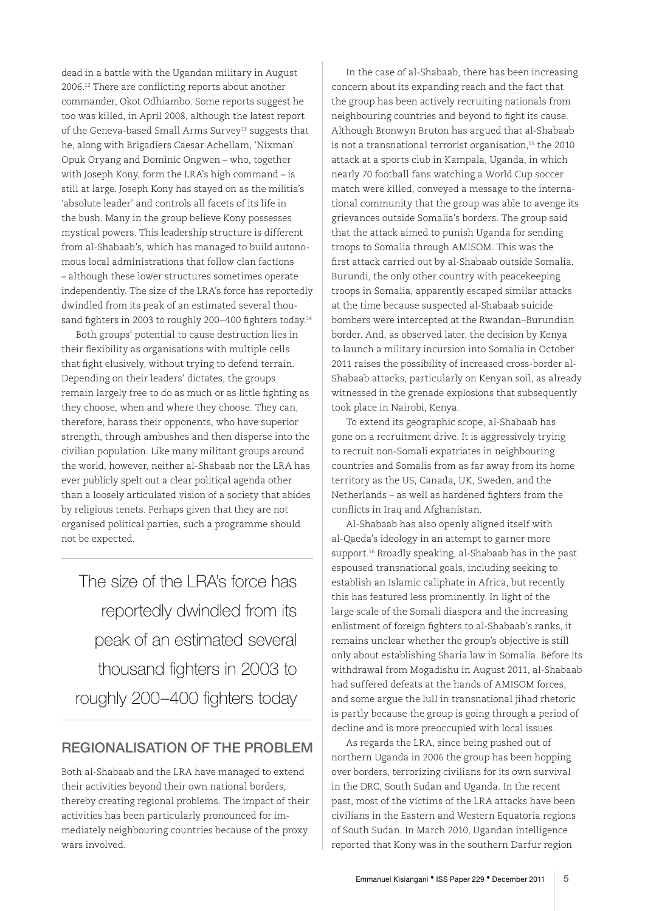dead in a battle with the Ugandan military in August 2006.12 There are conflicting reports about another commander, Okot Odhiambo. Some reports suggest he too was killed, in April 2008, although the latest report of the Geneva-based Small Arms Survey<sup>13</sup> suggests that he, along with Brigadiers Caesar Achellam, 'Nixman' Opuk Oryang and Dominic Ongwen – who, together with Joseph Kony, form the LRA's high command – is still at large. Joseph Kony has stayed on as the militia's 'absolute leader' and controls all facets of its life in the bush. Many in the group believe Kony possesses mystical powers. This leadership structure is different from al-Shabaab's, which has managed to build autonomous local administrations that follow clan factions – although these lower structures sometimes operate independently. The size of the LRA's force has reportedly dwindled from its peak of an estimated several thousand fighters in 2003 to roughly 200-400 fighters today.<sup>14</sup>

Both groups' potential to cause destruction lies in their flexibility as organisations with multiple cells that fight elusively, without trying to defend terrain. Depending on their leaders' dictates, the groups remain largely free to do as much or as little fighting as they choose, when and where they choose. They can, therefore, harass their opponents, who have superior strength, through ambushes and then disperse into the civilian population. Like many militant groups around the world, however, neither al-Shabaab nor the LRA has ever publicly spelt out a clear political agenda other than a loosely articulated vision of a society that abides by religious tenets. Perhaps given that they are not organised political parties, such a programme should not be expected.

The size of the LRA's force has reportedly dwindled from its peak of an estimated several thousand fighters in 2003 to roughly 200–400 fighters today

#### REGIONALISATION OF THE PROBLEM

Both al-Shabaab and the LRA have managed to extend their activities beyond their own national borders, thereby creating regional problems. The impact of their activities has been particularly pronounced for immediately neighbouring countries because of the proxy wars involved.

In the case of al-Shabaab, there has been increasing concern about its expanding reach and the fact that the group has been actively recruiting nationals from neighbouring countries and beyond to fight its cause. Although Bronwyn Bruton has argued that al-Shabaab is not a transnational terrorist organisation,<sup>15</sup> the 2010 attack at a sports club in Kampala, Uganda, in which nearly 70 football fans watching a World Cup soccer match were killed, conveyed a message to the international community that the group was able to avenge its grievances outside Somalia's borders. The group said that the attack aimed to punish Uganda for sending troops to Somalia through AMISOM. This was the first attack carried out by al-Shabaab outside Somalia. Burundi, the only other country with peacekeeping troops in Somalia, apparently escaped similar attacks at the time because suspected al-Shabaab suicide bombers were intercepted at the Rwandan–Burundian border. And, as observed later, the decision by Kenya to launch a military incursion into Somalia in October 2011 raises the possibility of increased cross-border al-Shabaab attacks, particularly on Kenyan soil, as already witnessed in the grenade explosions that subsequently took place in Nairobi, Kenya.

To extend its geographic scope, al-Shabaab has gone on a recruitment drive. It is aggressively trying to recruit non-Somali expatriates in neighbouring countries and Somalis from as far away from its home territory as the US, Canada, UK, Sweden, and the Netherlands – as well as hardened fighters from the conflicts in Iraq and Afghanistan.

Al-Shabaab has also openly aligned itself with al-Qaeda's ideology in an attempt to garner more support.16 Broadly speaking, al-Shabaab has in the past espoused transnational goals, including seeking to establish an Islamic caliphate in Africa, but recently this has featured less prominently. In light of the large scale of the Somali diaspora and the increasing enlistment of foreign fighters to al-Shabaab's ranks, it remains unclear whether the group's objective is still only about establishing Sharia law in Somalia. Before its withdrawal from Mogadishu in August 2011, al-Shabaab had suffered defeats at the hands of AMISOM forces, and some argue the lull in transnational jihad rhetoric is partly because the group is going through a period of decline and is more preoccupied with local issues.

As regards the LRA, since being pushed out of northern Uganda in 2006 the group has been hopping over borders, terrorizing civilians for its own survival in the DRC, South Sudan and Uganda. In the recent past, most of the victims of the LRA attacks have been civilians in the Eastern and Western Equatoria regions of South Sudan. In March 2010, Ugandan intelligence reported that Kony was in the southern Darfur region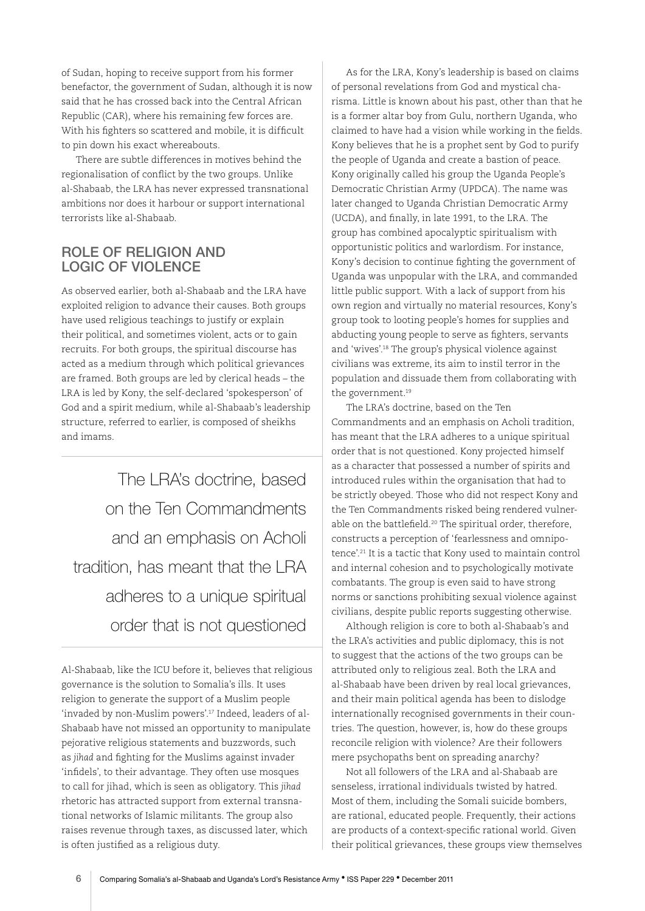of Sudan, hoping to receive support from his former benefactor, the government of Sudan, although it is now said that he has crossed back into the Central African Republic (CAR), where his remaining few forces are. With his fighters so scattered and mobile, it is difficult to pin down his exact whereabouts.

There are subtle differences in motives behind the regionalisation of conflict by the two groups. Unlike al-Shabaab, the LRA has never expressed transnational ambitions nor does it harbour or support international terrorists like al-Shabaab.

#### ROLE OF RELIGION AND LOGIC OF VIOLENCE

As observed earlier, both al-Shabaab and the LRA have exploited religion to advance their causes. Both groups have used religious teachings to justify or explain their political, and sometimes violent, acts or to gain recruits. For both groups, the spiritual discourse has acted as a medium through which political grievances are framed. Both groups are led by clerical heads – the LRA is led by Kony, the self-declared 'spokesperson' of God and a spirit medium, while al-Shabaab's leadership structure, referred to earlier, is composed of sheikhs and imams.

The LRA's doctrine, based on the Ten Commandments and an emphasis on Acholi tradition, has meant that the LRA adheres to a unique spiritual order that is not questioned

As for the LRA, Kony's leadership is based on claims of personal revelations from God and mystical charisma. Little is known about his past, other than that he is a former altar boy from Gulu, northern Uganda, who claimed to have had a vision while working in the fields. Kony believes that he is a prophet sent by God to purify the people of Uganda and create a bastion of peace. Kony originally called his group the Uganda People's Democratic Christian Army (UPDCA). The name was later changed to Uganda Christian Democratic Army (UCDA), and finally, in late 1991, to the LRA. The group has combined apocalyptic spiritualism with opportunistic politics and warlordism. For instance, Kony's decision to continue fighting the government of Uganda was unpopular with the LRA, and commanded little public support. With a lack of support from his own region and virtually no material resources, Kony's group took to looting people's homes for supplies and abducting young people to serve as fighters, servants and 'wives'.18 The group's physical violence against civilians was extreme, its aim to instil terror in the population and dissuade them from collaborating with the government.19

The LRA's doctrine, based on the Ten Commandments and an emphasis on Acholi tradition, has meant that the LRA adheres to a unique spiritual order that is not questioned. Kony projected himself as a character that possessed a number of spirits and introduced rules within the organisation that had to be strictly obeyed. Those who did not respect Kony and the Ten Commandments risked being rendered vulnerable on the battlefield.<sup>20</sup> The spiritual order, therefore, constructs a perception of 'fearlessness and omnipotence'.21 It is a tactic that Kony used to maintain control and internal cohesion and to psychologically motivate combatants. The group is even said to have strong norms or sanctions prohibiting sexual violence against civilians, despite public reports suggesting otherwise.

Although religion is core to both al-Shabaab's and the LRA's activities and public diplomacy, this is not to suggest that the actions of the two groups can be attributed only to religious zeal. Both the LRA and al-Shabaab have been driven by real local grievances, and their main political agenda has been to dislodge internationally recognised governments in their countries. The question, however, is, how do these groups reconcile religion with violence? Are their followers mere psychopaths bent on spreading anarchy?

Not all followers of the LRA and al-Shabaab are senseless, irrational individuals twisted by hatred. Most of them, including the Somali suicide bombers, are rational, educated people. Frequently, their actions are products of a context-specific rational world. Given their political grievances, these groups view themselves

Al-Shabaab, like the ICU before it, believes that religious governance is the solution to Somalia's ills. It uses religion to generate the support of a Muslim people 'invaded by non-Muslim powers'.17 Indeed, leaders of al-Shabaab have not missed an opportunity to manipulate pejorative religious statements and buzzwords, such as *jihad* and fighting for the Muslims against invader 'infidels', to their advantage. They often use mosques to call for jihad, which is seen as obligatory. This *jihad* rhetoric has attracted support from external transnational networks of Islamic militants. The group also raises revenue through taxes, as discussed later, which is often justified as a religious duty.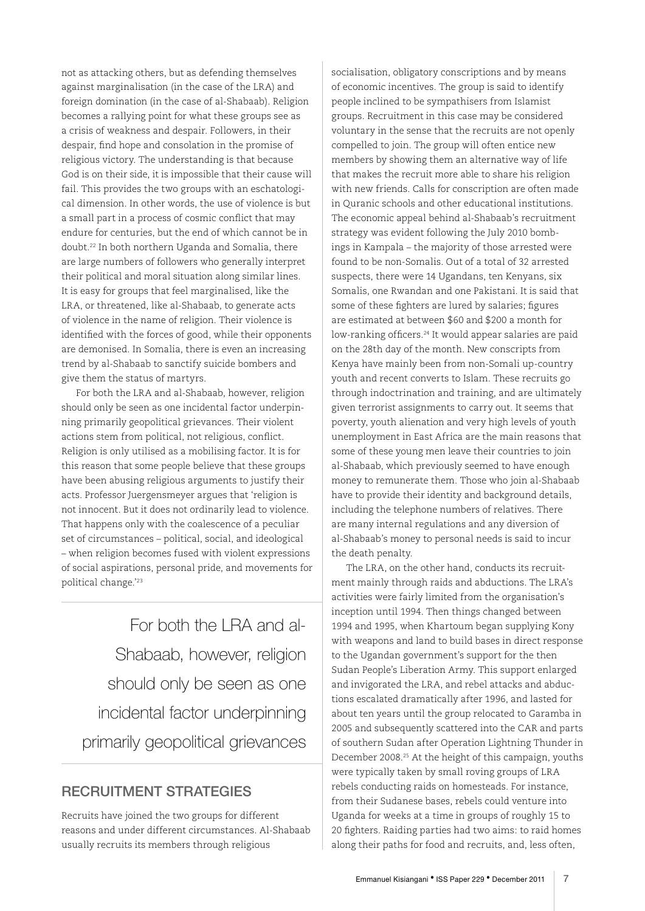not as attacking others, but as defending themselves against marginalisation (in the case of the LRA) and foreign domination (in the case of al-Shabaab). Religion becomes a rallying point for what these groups see as a crisis of weakness and despair. Followers, in their despair, find hope and consolation in the promise of religious victory. The understanding is that because God is on their side, it is impossible that their cause will fail. This provides the two groups with an eschatological dimension. In other words, the use of violence is but a small part in a process of cosmic conflict that may endure for centuries, but the end of which cannot be in doubt.22 In both northern Uganda and Somalia, there are large numbers of followers who generally interpret their political and moral situation along similar lines. It is easy for groups that feel marginalised, like the LRA, or threatened, like al-Shabaab, to generate acts of violence in the name of religion. Their violence is identified with the forces of good, while their opponents are demonised. In Somalia, there is even an increasing trend by al-Shabaab to sanctify suicide bombers and give them the status of martyrs.

For both the LRA and al-Shabaab, however, religion should only be seen as one incidental factor underpinning primarily geopolitical grievances. Their violent actions stem from political, not religious, conflict. Religion is only utilised as a mobilising factor. It is for this reason that some people believe that these groups have been abusing religious arguments to justify their acts. Professor Juergensmeyer argues that 'religion is not innocent. But it does not ordinarily lead to violence. That happens only with the coalescence of a peculiar set of circumstances – political, social, and ideological – when religion becomes fused with violent expressions of social aspirations, personal pride, and movements for political change.'23

For both the LRA and al-Shabaab, however, religion should only be seen as one incidental factor underpinning primarily geopolitical grievances

# RECRUITMENT STRATEGIES

Recruits have joined the two groups for different reasons and under different circumstances. Al-Shabaab usually recruits its members through religious

socialisation, obligatory conscriptions and by means of economic incentives. The group is said to identify people inclined to be sympathisers from Islamist groups. Recruitment in this case may be considered voluntary in the sense that the recruits are not openly compelled to join. The group will often entice new members by showing them an alternative way of life that makes the recruit more able to share his religion with new friends. Calls for conscription are often made in Quranic schools and other educational institutions. The economic appeal behind al-Shabaab's recruitment strategy was evident following the July 2010 bombings in Kampala – the majority of those arrested were found to be non-Somalis. Out of a total of 32 arrested suspects, there were 14 Ugandans, ten Kenyans, six Somalis, one Rwandan and one Pakistani. It is said that some of these fighters are lured by salaries; figures are estimated at between \$60 and \$200 a month for low-ranking officers.<sup>24</sup> It would appear salaries are paid on the 28th day of the month. New conscripts from Kenya have mainly been from non-Somali up-country youth and recent converts to Islam. These recruits go through indoctrination and training, and are ultimately given terrorist assignments to carry out. It seems that poverty, youth alienation and very high levels of youth unemployment in East Africa are the main reasons that some of these young men leave their countries to join al-Shabaab, which previously seemed to have enough money to remunerate them. Those who join al-Shabaab have to provide their identity and background details, including the telephone numbers of relatives. There are many internal regulations and any diversion of al-Shabaab's money to personal needs is said to incur the death penalty.

The LRA, on the other hand, conducts its recruitment mainly through raids and abductions. The LRA's activities were fairly limited from the organisation's inception until 1994. Then things changed between 1994 and 1995, when Khartoum began supplying Kony with weapons and land to build bases in direct response to the Ugandan government's support for the then Sudan People's Liberation Army. This support enlarged and invigorated the LRA, and rebel attacks and abductions escalated dramatically after 1996, and lasted for about ten years until the group relocated to Garamba in 2005 and subsequently scattered into the CAR and parts of southern Sudan after Operation Lightning Thunder in December 2008.25 At the height of this campaign, youths were typically taken by small roving groups of LRA rebels conducting raids on homesteads. For instance, from their Sudanese bases, rebels could venture into Uganda for weeks at a time in groups of roughly 15 to 20 fighters. Raiding parties had two aims: to raid homes along their paths for food and recruits, and, less often,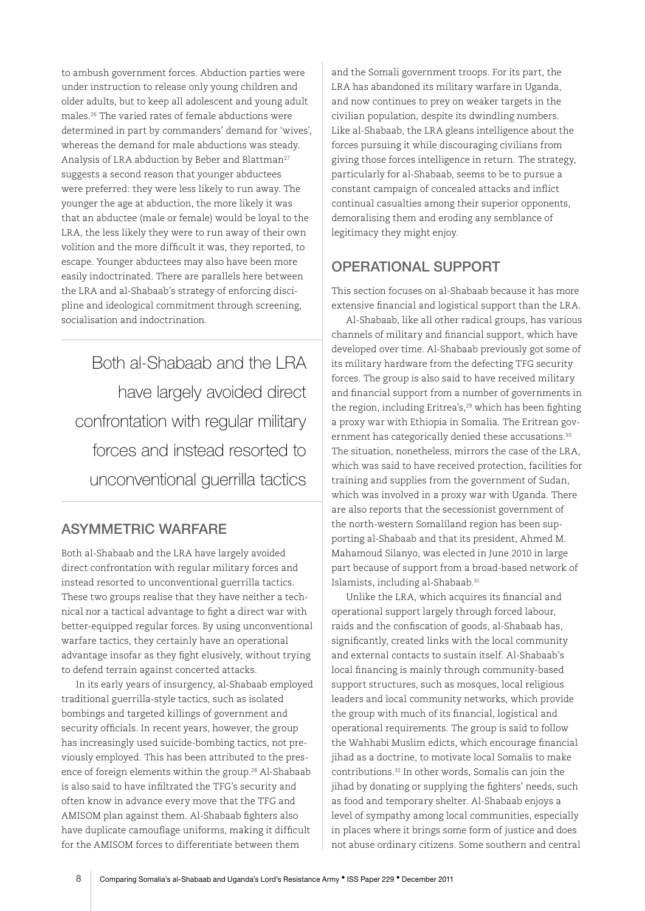to ambush government forces. Abduction parties were under instruction to release only young children and older adults, but to keep all adolescent and young adult males.26 The varied rates of female abductions were determined in part by commanders' demand for 'wives', whereas the demand for male abductions was steady. Analysis of LRA abduction by Beber and Blattman<sup>27</sup> suggests a second reason that younger abductees were preferred: they were less likely to run away. The younger the age at abduction, the more likely it was that an abductee (male or female) would be loyal to the LRA, the less likely they were to run away of their own volition and the more difficult it was, they reported, to escape. Younger abductees may also have been more easily indoctrinated. There are parallels here between the LRA and al-Shabaab's strategy of enforcing discipline and ideological commitment through screening, socialisation and indoctrination.

Both al-Shabaab and the LRA have largely avoided direct confrontation with regular military forces and instead resorted to unconventional guerrilla tactics

# ASYMMETRIC WARFARE

Both al-Shabaab and the LRA have largely avoided direct confrontation with regular military forces and instead resorted to unconventional guerrilla tactics. These two groups realise that they have neither a technical nor a tactical advantage to fight a direct war with better-equipped regular forces. By using unconventional warfare tactics, they certainly have an operational advantage insofar as they fight elusively, without trying to defend terrain against concerted attacks.

In its early years of insurgency, al-Shabaab employed traditional guerrilla-style tactics, such as isolated bombings and targeted killings of government and security officials. In recent years, however, the group has increasingly used suicide-bombing tactics, not previously employed. This has been attributed to the presence of foreign elements within the group.<sup>28</sup> Al-Shabaab is also said to have infiltrated the TFG's security and often know in advance every move that the TFG and AMISOM plan against them. Al-Shabaab fighters also have duplicate camouflage uniforms, making it difficult for the AMISOM forces to differentiate between them

and the Somali government troops. For its part, the LRA has abandoned its military warfare in Uganda, and now continues to prey on weaker targets in the civilian population, despite its dwindling numbers. Like al-Shabaab, the LRA gleans intelligence about the forces pursuing it while discouraging civilians from giving those forces intelligence in return. The strategy, particularly for al-Shabaab, seems to be to pursue a constant campaign of concealed attacks and inflict continual casualties among their superior opponents, demoralising them and eroding any semblance of legitimacy they might enjoy.

#### OPERATIONAL SUPPORT

This section focuses on al-Shabaab because it has more extensive financial and logistical support than the LRA.

Al-Shabaab, like all other radical groups, has various channels of military and financial support, which have developed over time. Al-Shabaab previously got some of its military hardware from the defecting TFG security forces. The group is also said to have received military and financial support from a number of governments in the region, including Eritrea's,<sup>29</sup> which has been fighting a proxy war with Ethiopia in Somalia. The Eritrean government has categorically denied these accusations.<sup>30</sup> The situation, nonetheless, mirrors the case of the LRA, which was said to have received protection, facilities for training and supplies from the government of Sudan, which was involved in a proxy war with Uganda. There are also reports that the secessionist government of the north-western Somaliland region has been supporting al-Shabaab and that its president, Ahmed M. Mahamoud Silanyo, was elected in June 2010 in large part because of support from a broad-based network of Islamists, including al-Shabaab.31

Unlike the LRA, which acquires its financial and operational support largely through forced labour, raids and the confiscation of goods, al-Shabaab has, significantly, created links with the local community and external contacts to sustain itself. Al-Shabaab's local financing is mainly through community-based support structures, such as mosques, local religious leaders and local community networks, which provide the group with much of its financial, logistical and operational requirements. The group is said to follow the Wahhabi Muslim edicts, which encourage financial jihad as a doctrine, to motivate local Somalis to make contributions.32 In other words, Somalis can join the jihad by donating or supplying the fighters' needs, such as food and temporary shelter. Al-Shabaab enjoys a level of sympathy among local communities, especially in places where it brings some form of justice and does not abuse ordinary citizens. Some southern and central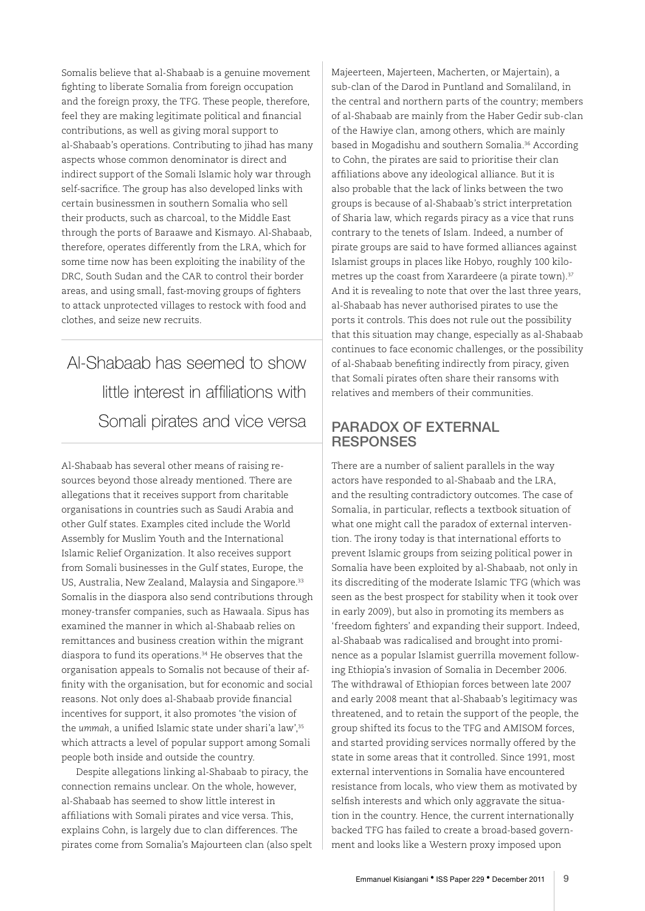Somalis believe that al-Shabaab is a genuine movement fighting to liberate Somalia from foreign occupation and the foreign proxy, the TFG. These people, therefore, feel they are making legitimate political and financial contributions, as well as giving moral support to al-Shabaab's operations. Contributing to jihad has many aspects whose common denominator is direct and indirect support of the Somali Islamic holy war through self-sacrifice. The group has also developed links with certain businessmen in southern Somalia who sell their products, such as charcoal, to the Middle East through the ports of Baraawe and Kismayo. Al-Shabaab, therefore, operates differently from the LRA, which for some time now has been exploiting the inability of the DRC, South Sudan and the CAR to control their border areas, and using small, fast-moving groups of fighters to attack unprotected villages to restock with food and clothes, and seize new recruits.

Al-Shabaab has seemed to show little interest in affiliations with Somali pirates and vice versa

Al-Shabaab has several other means of raising resources beyond those already mentioned. There are allegations that it receives support from charitable organisations in countries such as Saudi Arabia and other Gulf states. Examples cited include the World Assembly for Muslim Youth and the International Islamic Relief Organization. It also receives support from Somali businesses in the Gulf states, Europe, the US, Australia, New Zealand, Malaysia and Singapore.<sup>33</sup> Somalis in the diaspora also send contributions through money-transfer companies, such as Hawaala. Sipus has examined the manner in which al-Shabaab relies on remittances and business creation within the migrant diaspora to fund its operations.34 He observes that the organisation appeals to Somalis not because of their affinity with the organisation, but for economic and social reasons. Not only does al-Shabaab provide financial incentives for support, it also promotes 'the vision of the *ummah*, a unified Islamic state under shari'a law',<sup>35</sup> which attracts a level of popular support among Somali people both inside and outside the country.

Despite allegations linking al-Shabaab to piracy, the connection remains unclear. On the whole, however, al-Shabaab has seemed to show little interest in affiliations with Somali pirates and vice versa. This, explains Cohn, is largely due to clan differences. The pirates come from Somalia's Majourteen clan (also spelt Majeerteen, Majerteen, Macherten, or Majertain), a sub-clan of the Darod in Puntland and Somaliland, in the central and northern parts of the country; members of al-Shabaab are mainly from the Haber Gedir sub-clan of the Hawiye clan, among others, which are mainly based in Mogadishu and southern Somalia.<sup>36</sup> According to Cohn, the pirates are said to prioritise their clan affiliations above any ideological alliance. But it is also probable that the lack of links between the two groups is because of al-Shabaab's strict interpretation of Sharia law, which regards piracy as a vice that runs contrary to the tenets of Islam. Indeed, a number of pirate groups are said to have formed alliances against Islamist groups in places like Hobyo, roughly 100 kilometres up the coast from Xarardeere (a pirate town).<sup>37</sup> And it is revealing to note that over the last three years, al-Shabaab has never authorised pirates to use the ports it controls. This does not rule out the possibility that this situation may change, especially as al-Shabaab continues to face economic challenges, or the possibility of al-Shabaab benefiting indirectly from piracy, given that Somali pirates often share their ransoms with relatives and members of their communities.

#### PARADOX OF EXTERNAL RESPONSES

There are a number of salient parallels in the way actors have responded to al-Shabaab and the LRA, and the resulting contradictory outcomes. The case of Somalia, in particular, reflects a textbook situation of what one might call the paradox of external intervention. The irony today is that international efforts to prevent Islamic groups from seizing political power in Somalia have been exploited by al-Shabaab, not only in its discrediting of the moderate Islamic TFG (which was seen as the best prospect for stability when it took over in early 2009), but also in promoting its members as 'freedom fighters' and expanding their support. Indeed, al-Shabaab was radicalised and brought into prominence as a popular Islamist guerrilla movement following Ethiopia's invasion of Somalia in December 2006. The withdrawal of Ethiopian forces between late 2007 and early 2008 meant that al-Shabaab's legitimacy was threatened, and to retain the support of the people, the group shifted its focus to the TFG and AMISOM forces, and started providing services normally offered by the state in some areas that it controlled. Since 1991, most external interventions in Somalia have encountered resistance from locals, who view them as motivated by selfish interests and which only aggravate the situation in the country. Hence, the current internationally backed TFG has failed to create a broad-based government and looks like a Western proxy imposed upon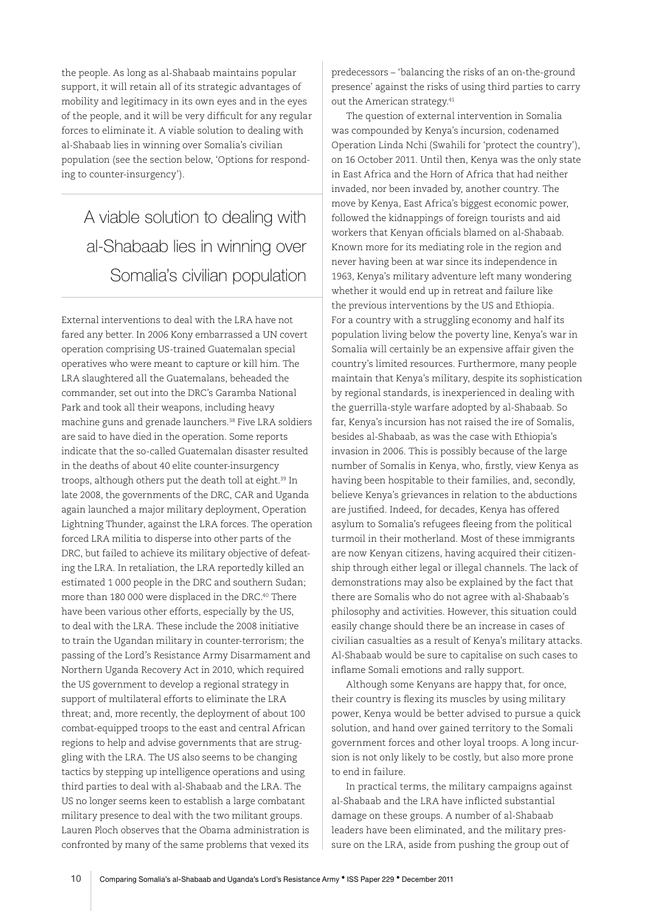the people. As long as al-Shabaab maintains popular support, it will retain all of its strategic advantages of mobility and legitimacy in its own eyes and in the eyes of the people, and it will be very difficult for any regular forces to eliminate it. A viable solution to dealing with al-Shabaab lies in winning over Somalia's civilian population (see the section below, 'Options for responding to counter-insurgency').

A viable solution to dealing with al-Shabaab lies in winning over Somalia's civilian population

External interventions to deal with the LRA have not fared any better. In 2006 Kony embarrassed a UN covert operation comprising US-trained Guatemalan special operatives who were meant to capture or kill him. The LRA slaughtered all the Guatemalans, beheaded the commander, set out into the DRC's Garamba National Park and took all their weapons, including heavy machine guns and grenade launchers.38 Five LRA soldiers are said to have died in the operation. Some reports indicate that the so-called Guatemalan disaster resulted in the deaths of about 40 elite counter-insurgency troops, although others put the death toll at eight.<sup>39</sup> In late 2008, the governments of the DRC, CAR and Uganda again launched a major military deployment, Operation Lightning Thunder, against the LRA forces. The operation forced LRA militia to disperse into other parts of the DRC, but failed to achieve its military objective of defeating the LRA. In retaliation, the LRA reportedly killed an estimated 1 000 people in the DRC and southern Sudan; more than 180 000 were displaced in the DRC.40 There have been various other efforts, especially by the US, to deal with the LRA. These include the 2008 initiative to train the Ugandan military in counter-terrorism; the passing of the Lord's Resistance Army Disarmament and Northern Uganda Recovery Act in 2010, which required the US government to develop a regional strategy in support of multilateral efforts to eliminate the LRA threat; and, more recently, the deployment of about 100 combat-equipped troops to the east and central African regions to help and advise governments that are struggling with the LRA. The US also seems to be changing tactics by stepping up intelligence operations and using third parties to deal with al-Shabaab and the LRA. The US no longer seems keen to establish a large combatant military presence to deal with the two militant groups. Lauren Ploch observes that the Obama administration is confronted by many of the same problems that vexed its

predecessors – 'balancing the risks of an on-the-ground presence' against the risks of using third parties to carry out the American strategy.<sup>41</sup>

The question of external intervention in Somalia was compounded by Kenya's incursion, codenamed Operation Linda Nchi (Swahili for 'protect the country'), on 16 October 2011. Until then, Kenya was the only state in East Africa and the Horn of Africa that had neither invaded, nor been invaded by, another country. The move by Kenya, East Africa's biggest economic power, followed the kidnappings of foreign tourists and aid workers that Kenyan officials blamed on al-Shabaab. Known more for its mediating role in the region and never having been at war since its independence in 1963, Kenya's military adventure left many wondering whether it would end up in retreat and failure like the previous interventions by the US and Ethiopia. For a country with a struggling economy and half its population living below the poverty line, Kenya's war in Somalia will certainly be an expensive affair given the country's limited resources. Furthermore, many people maintain that Kenya's military, despite its sophistication by regional standards, is inexperienced in dealing with the guerrilla-style warfare adopted by al-Shabaab. So far, Kenya's incursion has not raised the ire of Somalis, besides al-Shabaab, as was the case with Ethiopia's invasion in 2006. This is possibly because of the large number of Somalis in Kenya, who, firstly, view Kenya as having been hospitable to their families, and, secondly, believe Kenya's grievances in relation to the abductions are justified. Indeed, for decades, Kenya has offered asylum to Somalia's refugees fleeing from the political turmoil in their motherland. Most of these immigrants are now Kenyan citizens, having acquired their citizenship through either legal or illegal channels. The lack of demonstrations may also be explained by the fact that there are Somalis who do not agree with al-Shabaab's philosophy and activities. However, this situation could easily change should there be an increase in cases of civilian casualties as a result of Kenya's military attacks. Al-Shabaab would be sure to capitalise on such cases to inflame Somali emotions and rally support.

Although some Kenyans are happy that, for once, their country is flexing its muscles by using military power, Kenya would be better advised to pursue a quick solution, and hand over gained territory to the Somali government forces and other loyal troops. A long incursion is not only likely to be costly, but also more prone to end in failure.

In practical terms, the military campaigns against al-Shabaab and the LRA have inflicted substantial damage on these groups. A number of al-Shabaab leaders have been eliminated, and the military pressure on the LRA, aside from pushing the group out of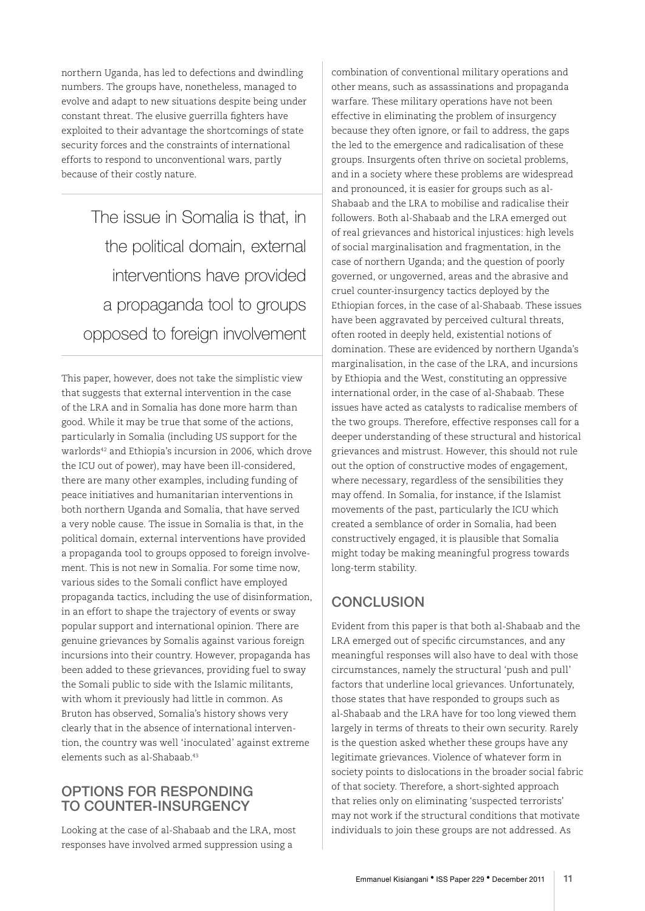northern Uganda, has led to defections and dwindling numbers. The groups have, nonetheless, managed to evolve and adapt to new situations despite being under constant threat. The elusive guerrilla fighters have exploited to their advantage the shortcomings of state security forces and the constraints of international efforts to respond to unconventional wars, partly because of their costly nature.

The issue in Somalia is that, in the political domain, external interventions have provided a propaganda tool to groups opposed to foreign involvement

This paper, however, does not take the simplistic view that suggests that external intervention in the case of the LRA and in Somalia has done more harm than good. While it may be true that some of the actions, particularly in Somalia (including US support for the warlords42 and Ethiopia's incursion in 2006, which drove the ICU out of power), may have been ill-considered, there are many other examples, including funding of peace initiatives and humanitarian interventions in both northern Uganda and Somalia, that have served a very noble cause. The issue in Somalia is that, in the political domain, external interventions have provided a propaganda tool to groups opposed to foreign involvement. This is not new in Somalia. For some time now, various sides to the Somali conflict have employed propaganda tactics, including the use of disinformation, in an effort to shape the trajectory of events or sway popular support and international opinion. There are genuine grievances by Somalis against various foreign incursions into their country. However, propaganda has been added to these grievances, providing fuel to sway the Somali public to side with the Islamic militants, with whom it previously had little in common. As Bruton has observed, Somalia's history shows very clearly that in the absence of international intervention, the country was well 'inoculated' against extreme elements such as al-Shabaab.43

#### OPTIONS FOR RESPONDING TO COUNTER-INSURGENCY

Looking at the case of al-Shabaab and the LRA, most responses have involved armed suppression using a

combination of conventional military operations and other means, such as assassinations and propaganda warfare. These military operations have not been effective in eliminating the problem of insurgency because they often ignore, or fail to address, the gaps the led to the emergence and radicalisation of these groups. Insurgents often thrive on societal problems, and in a society where these problems are widespread and pronounced, it is easier for groups such as al-Shabaab and the LRA to mobilise and radicalise their followers. Both al-Shabaab and the LRA emerged out of real grievances and historical injustices: high levels of social marginalisation and fragmentation, in the case of northern Uganda; and the question of poorly governed, or ungoverned, areas and the abrasive and cruel counter-insurgency tactics deployed by the Ethiopian forces, in the case of al-Shabaab. These issues have been aggravated by perceived cultural threats, often rooted in deeply held, existential notions of domination. These are evidenced by northern Uganda's marginalisation, in the case of the LRA, and incursions by Ethiopia and the West, constituting an oppressive international order, in the case of al-Shabaab. These issues have acted as catalysts to radicalise members of the two groups. Therefore, effective responses call for a deeper understanding of these structural and historical grievances and mistrust. However, this should not rule out the option of constructive modes of engagement, where necessary, regardless of the sensibilities they may offend. In Somalia, for instance, if the Islamist movements of the past, particularly the ICU which created a semblance of order in Somalia, had been constructively engaged, it is plausible that Somalia might today be making meaningful progress towards long-term stability.

# **CONCLUSION**

Evident from this paper is that both al-Shabaab and the LRA emerged out of specific circumstances, and any meaningful responses will also have to deal with those circumstances, namely the structural 'push and pull' factors that underline local grievances. Unfortunately, those states that have responded to groups such as al-Shabaab and the LRA have for too long viewed them largely in terms of threats to their own security. Rarely is the question asked whether these groups have any legitimate grievances. Violence of whatever form in society points to dislocations in the broader social fabric of that society. Therefore, a short-sighted approach that relies only on eliminating 'suspected terrorists' may not work if the structural conditions that motivate individuals to join these groups are not addressed. As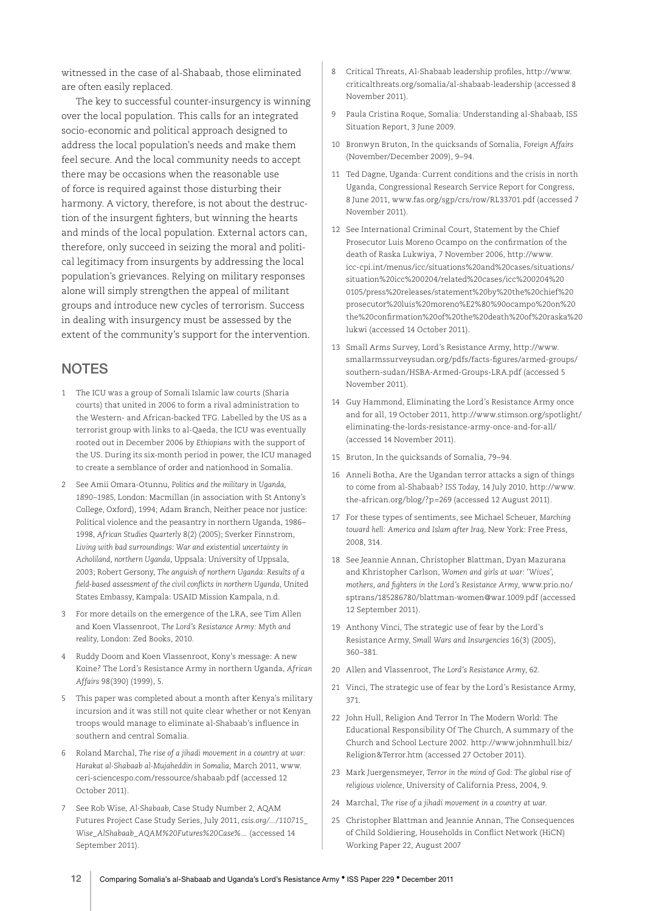witnessed in the case of al-Shabaab, those eliminated are often easily replaced.

The key to successful counter-insurgency is winning over the local population. This calls for an integrated socio-economic and political approach designed to address the local population's needs and make them feel secure. And the local community needs to accept there may be occasions when the reasonable use of force is required against those disturbing their harmony. A victory, therefore, is not about the destruction of the insurgent fighters, but winning the hearts and minds of the local population. External actors can, therefore, only succeed in seizing the moral and political legitimacy from insurgents by addressing the local population's grievances. Relying on military responses alone will simply strengthen the appeal of militant groups and introduce new cycles of terrorism. Success in dealing with insurgency must be assessed by the extent of the community's support for the intervention.

#### **NOTES**

- 1 The ICU was a group of Somali Islamic law courts (Sharia courts) that united in 2006 to form a rival administration to the Western- and African-backed TFG. Labelled by the US as a terrorist group with links to al-Qaeda, the ICU was eventually rooted out in December 2006 by *Ethiopians* with the support of the US. During its six-month period in power, the ICU managed to create a semblance of order and nationhood in Somalia.
- 2 See Amii Omara-Otunnu, *Politics and the military in Uganda, 1890–1985*, London: Macmillan (in association with St Antony's College, Oxford), 1994; Adam Branch, Neither peace nor justice: Political violence and the peasantry in northern Uganda, 1986– 1998, *African Studies Quarterly* 8(2) (2005); Sverker Finnstrom, *Living with bad surroundings: War and existential uncertainty in Acholiland, northern Uganda*, Uppsala: University of Uppsala, 2003; Robert Gersony, *The anguish of northern Uganda: Results of a field-based assessment of the civil conflicts in northern Uganda*, United States Embassy, Kampala: USAID Mission Kampala, n.d.
- 3 For more details on the emergence of the LRA, see Tim Allen and Koen Vlassenroot, *The Lord's Resistance Army: Myth and reality*, London: Zed Books, 2010.
- 4 Ruddy Doom and Koen Vlassenroot, Kony's message: A new Koine? The Lord's Resistance Army in northern Uganda, *African Affairs* 98(390) (1999), 5.
- 5 This paper was completed about a month after Kenya's military incursion and it was still not quite clear whether or not Kenyan troops would manage to eliminate al-Shabaab's influence in southern and central Somalia.
- 6 Roland Marchal, *The rise of a jihadi movement in a country at war: Harakat al-Shabaab al-Mujaheddin in Somalia,* March 2011, www. ceri-sciencespo.com/ressource/shabaab.pdf (accessed 12 October 2011).
- 7 See Rob Wise, *Al-Shabaab*, Case Study Number 2, AQAM Futures Project Case Study Series, July 2011, *csis.org/.../110715\_ Wise\_AlShabaab\_AQAM%20Futures%20Case%...* (accessed 14 September 2011).
- 8 Critical Threats, Al-Shabaab leadership profiles, http://www. criticalthreats.org/somalia/al-shabaab-leadership (accessed 8 November 2011).
- 9 Paula Cristina Roque, Somalia: Understanding al-Shabaab, ISS Situation Report, 3 June 2009.
- 10 Bronwyn Bruton, In the quicksands of Somalia, *Foreign Affairs* (November/December 2009), 9–94.
- 11 Ted Dagne, Uganda: Current conditions and the crisis in north Uganda, Congressional Research Service Report for Congress, 8 June 2011, www.fas.org/sgp/crs/row/RL33701.pdf (accessed 7 November 2011).
- 12 See International Criminal Court, Statement by the Chief Prosecutor Luis Moreno Ocampo on the confirmation of the death of Raska Lukwiya, 7 November 2006, http://www. icc-cpi.int/menus/icc/situations%20and%20cases/situations/ situation%20icc%200204/related%20cases/icc%200204%20 0105/press%20releases/statement%20by%20the%20chief%20 prosecutor%20luis%20moreno%E2%80%90ocampo%20on%20 the%20confirmation%20of%20the%20death%20of%20raska%20 lukwi (accessed 14 October 2011).
- 13 Small Arms Survey, Lord's Resistance Army, http://www. smallarmssurveysudan.org/pdfs/facts-figures/armed-groups/ southern-sudan/HSBA-Armed-Groups-LRA.pdf (accessed 5 November 2011).
- 14 Guy Hammond, Eliminating the Lord's Resistance Army once and for all, 19 October 2011, http://www.stimson.org/spotlight/ eliminating-the-lords-resistance-army-once-and-for-all/ (accessed 14 November 2011).
- 15 Bruton, In the quicksands of Somalia, 79–94.
- 16 Anneli Botha, Are the Ugandan terror attacks a sign of things to come from al-Shabaab? *ISS Today*, 14 July 2010, http://www. the-african.org/blog/?p=269 (accessed 12 August 2011).
- 17 For these types of sentiments, see Michael Scheuer, *Marching toward hell: America and Islam after Iraq*, New York: Free Press, 2008, 314.
- 18 See Jeannie Annan, Christopher Blattman, Dyan Mazurana and Khristopher Carlson, *Women and girls at war: 'Wives', mothers, and fighters in the Lord's Resistance Army*, www.prio.no/ sptrans/185286780/blattman-women@war.1009.pdf (accessed 12 September 2011).
- 19 Anthony Vinci, The strategic use of fear by the Lord's Resistance Army, *Small Wars and Insurgencies* 16(3) (2005), 360–381.
- 20 Allen and Vlassenroot, *The Lord's Resistance Army*, 62.
- 21 Vinci, The strategic use of fear by the Lord's Resistance Army, 371.
- 22 John Hull, Religion And Terror In The Modern World: The Educational Responsibility Of The Church, A summary of the Church and School Lecture 2002. http://www.johnmhull.biz/ Religion&Terror.htm (accessed 27 October 2011).
- 23 Mark Juergensmeyer, *Terror in the mind of God: The global rise of religious violence*, University of California Press, 2004, 9.
- 24 Marchal, *The rise of a jihadi movement in a country at war*.
- 25 Christopher Blattman and Jeannie Annan, The Consequences of Child Soldiering, Households in Conflict Network (HiCN) Working Paper 22, August 2007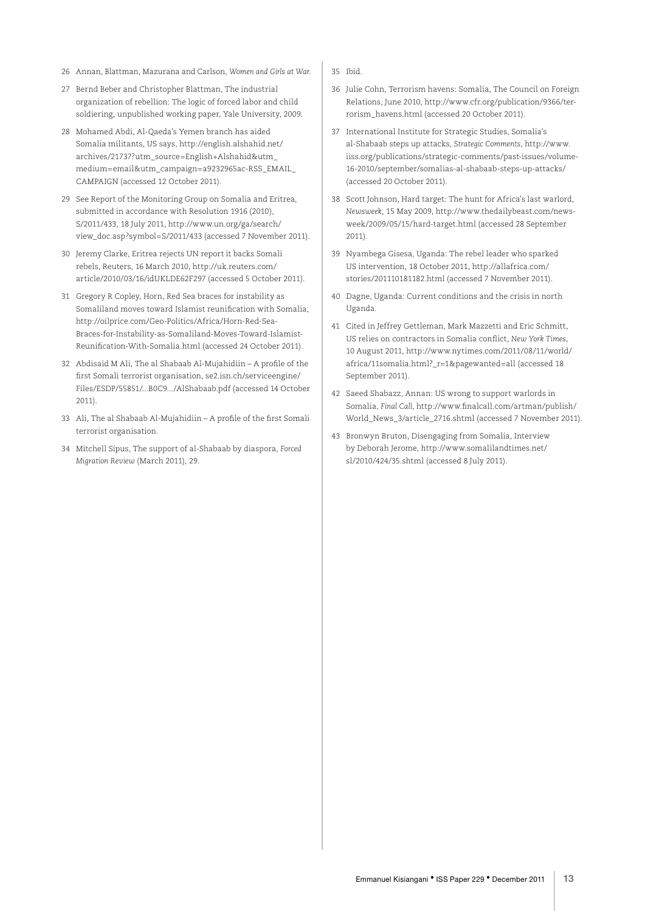- 26 Annan, Blattman, Mazurana and Carlson, *Women and Girls at War*.
- 27 Bernd Beber and Christopher Blattman, The industrial organization of rebellion: The logic of forced labor and child soldiering, unpublished working paper, Yale University, 2009.
- 28 Mohamed Abdi, Al-Qaeda's Yemen branch has aided Somalia militants, US says, http://english.alshahid.net/ archives/21737?utm\_source=English+Alshahid&utm\_ medium=email&utm\_campaign=a9232965ac-RSS\_EMAIL\_ CAMPAIGN (accessed 12 October 2011).
- 29 See Report of the Monitoring Group on Somalia and Eritrea, submitted in accordance with Resolution 1916 (2010), S/2011/433, 18 July 2011, http://www.un.org/ga/search/ view\_doc.asp?symbol=S/2011/433 (accessed 7 November 2011).
- 30 Jeremy Clarke, Eritrea rejects UN report it backs Somali rebels, Reuters, 16 March 2010, http://uk.reuters.com/ article/2010/03/16/idUKLDE62F297 (accessed 5 October 2011).
- 31 Gregory R Copley, Horn, Red Sea braces for instability as Somaliland moves toward Islamist reunification with Somalia, http://oilprice.com/Geo-Politics/Africa/Horn-Red-Sea-Braces-for-Instability-as-Somaliland-Moves-Toward-Islamist-Reunification-With-Somalia.html (accessed 24 October 2011).
- 32 Abdisaid M Ali, The al Shabaab Al-Mujahidiin A profile of the first Somali terrorist organisation, se2.isn.ch/serviceengine/ Files/ESDP/55851/...B0C9.../AlShabaab.pdf (accessed 14 October 2011).
- 33 Ali, The al Shabaab Al-Mujahidiin A profile of the first Somali terrorist organisation*.*
- 34 Mitchell Sipus, The support of al-Shabaab by diaspora, *Forced Migration Review* (March 2011), 29.
- 35 Ibid.
- 36 Julie Cohn, Terrorism havens: Somalia, The Council on Foreign Relations, June 2010, http://www.cfr.org/publication/9366/terrorism\_havens.html (accessed 20 October 2011).
- 37 International Institute for Strategic Studies, Somalia's al-Shabaab steps up attacks, *Strategic Comments*, http://www. iiss.org/publications/strategic-comments/past-issues/volume-16-2010/september/somalias-al-shabaab-steps-up-attacks/ (accessed 20 October 2011).
- 38 Scott Johnson, Hard target: The hunt for Africa's last warlord, *Newsweek*, 15 May 2009, http://www.thedailybeast.com/newsweek/2009/05/15/hard-target.html (accessed 28 September 2011).
- 39 Nyambega Gisesa, Uganda: The rebel leader who sparked US intervention, 18 October 2011, http://allafrica.com/ stories/201110181182.html (accessed 7 November 2011).
- 40 Dagne, Uganda: Current conditions and the crisis in north Uganda*.*
- 41 Cited in Jeffrey Gettleman, Mark Mazzetti and Eric Schmitt, US relies on contractors in Somalia conflict, *New York Times*, 10 August 2011, http://www.nytimes.com/2011/08/11/world/ africa/11somalia.html?\_r=1&pagewanted=all (accessed 18 September 2011).
- 42 Saeed Shabazz, Annan: US wrong to support warlords in Somalia, *Final Call*, http://www.finalcall.com/artman/publish/ World\_News\_3/article\_2716.shtml (accessed 7 November 2011).
- 43 Bronwyn Bruton, Disengaging from Somalia, Interview by Deborah Jerome, http://www.somalilandtimes.net/ sl/2010/424/35.shtml (accessed 8 July 2011).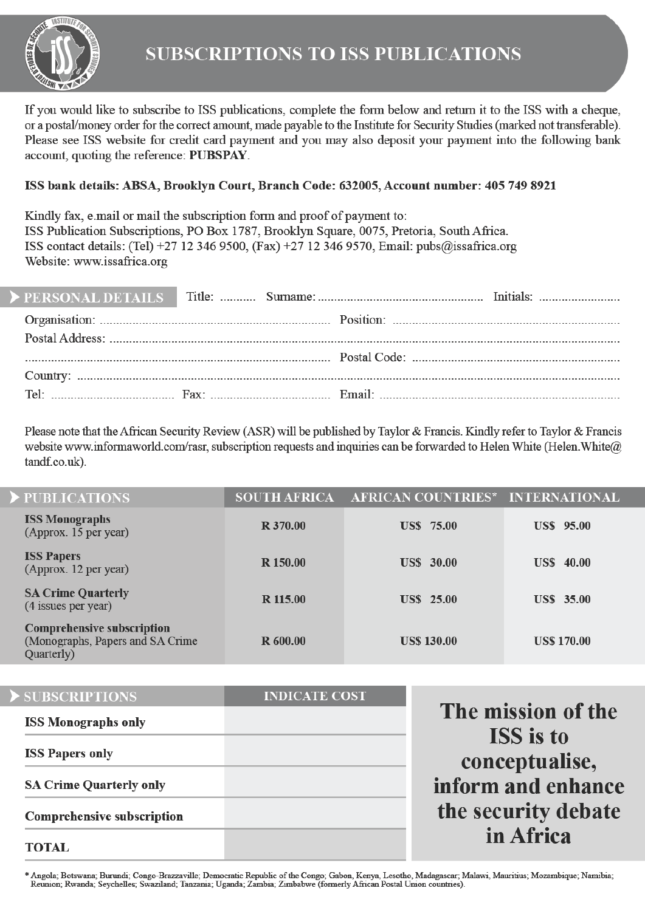

If you would like to subscribe to ISS publications, complete the form below and return it to the ISS with a cheque, or a postal/money order for the correct amount, made payable to the Institute for Security Studies (marked not transferable). Please see ISS website for credit card payment and you may also deposit your payment into the following bank account, quoting the reference: PUBSPAY.

#### ISS bank details: ABSA, Brooklyn Court, Branch Code: 632005, Account number: 405 749 8921

Kindly fax, e.mail or mail the subscription form and proof of payment to: ISS Publication Subscriptions, PO Box 1787, Brooklyn Square, 0075, Pretoria, South Africa. ISS contact details: (Tel) +27 12 346 9500, (Fax) +27 12 346 9570, Email: pubs@issafrica.org Website: www.issafrica.org

Please note that the African Security Review (ASR) will be published by Taylor & Francis. Kindly refer to Taylor & Francis website www.informaworld.com/rasr. subscription requests and inquiries can be forwarded to Helen White (Helen White@ tandf.co.uk).

| PUBLICATIONS                                                                        | <b>SOUTH AFRICA</b> | <b>AFRICAN COUNTRIES*</b> | <b>INTERNATIONAL</b> |  |
|-------------------------------------------------------------------------------------|---------------------|---------------------------|----------------------|--|
| <b>ISS Monographs</b><br>(Approx. 15 per year)                                      | R 370.00            | <b>US\$</b> 75.00         | <b>US\$</b> 95.00    |  |
| <b>ISS Papers</b><br>(Approx. 12 per year)                                          | R 150.00            | <b>US\$</b> 30.00         | <b>US\$</b> 40.00    |  |
| <b>SA Crime Quarterly</b><br>(4 issues per year)                                    | R 115.00            | <b>US\$</b> 25.00         | <b>US\$</b> 35.00    |  |
| <b>Comprehensive subscription</b><br>(Monographs, Papers and SA Crime<br>Quarterly) | R 600.00            | <b>US\$ 130.00</b>        | <b>US\$ 170.00</b>   |  |
|                                                                                     |                     |                           |                      |  |

| SUBSCRIPTIONS                     | <b>INDICATE COST</b> |                                    |
|-----------------------------------|----------------------|------------------------------------|
| <b>ISS Monographs only</b>        |                      | The mission of the                 |
| <b>ISS Papers only</b>            |                      | <b>ISS</b> is to<br>conceptualise, |
| <b>SA Crime Quarterly only</b>    |                      | inform and enhance                 |
| <b>Comprehensive subscription</b> |                      | the security debate                |
| <b>TOTAL</b>                      |                      | in Africa                          |

ce

te

Angola: Botswana: Burundi: Congo-Brazzaville: Democratic Republic of the Congo: Gabon. Kenya, Lesotho, Madagascar: Malawi, Mauritius: Mozambique: Namibia: Reunion; Rwanda; Seychelles; Swaziland; Tanzania; Uganda; Zambia; Zimbabwe (formerly African Postal Union countries).